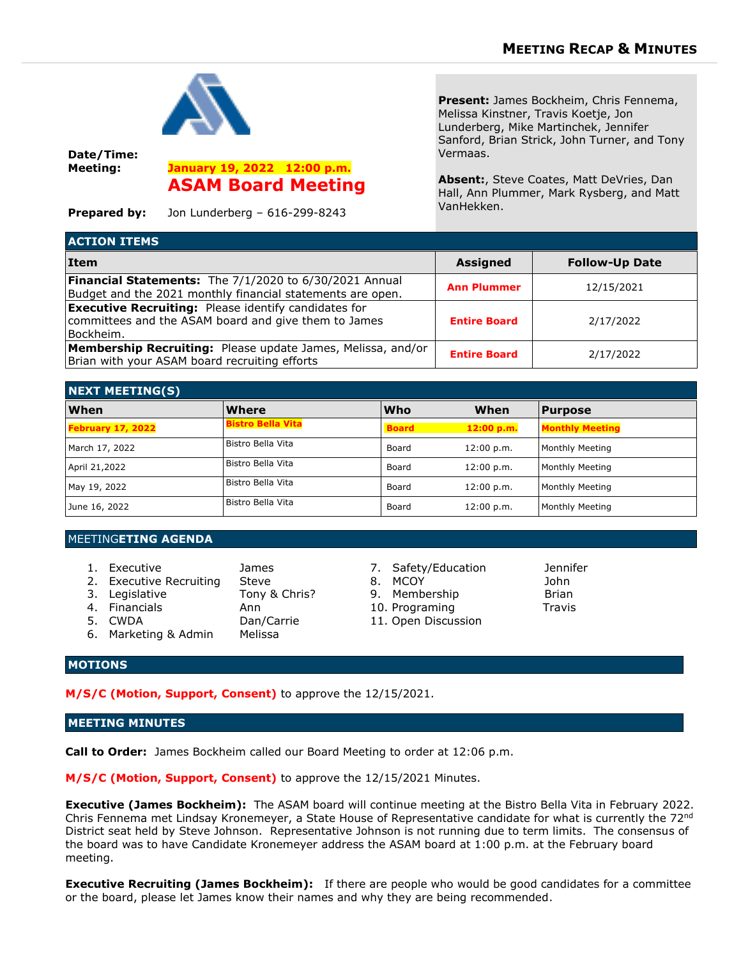

**Date/Time: Meeting: January 19, 2022 12:00 p.m.**

**ASAM Board Meeting**

**Prepared by:** Jon Lunderberg – 616-299-8243

**Present:** James Bockheim, Chris Fennema, Melissa Kinstner, Travis Koetje, Jon Lunderberg, Mike Martinchek, Jennifer Sanford, Brian Strick, John Turner, and Tony Vermaas.

**Absent:**, Steve Coates, Matt DeVries, Dan Hall, Ann Plummer, Mark Rysberg, and Matt VanHekken.

| <b>ACTION ITEMS</b>                                                                                                              |                     |                       |
|----------------------------------------------------------------------------------------------------------------------------------|---------------------|-----------------------|
| <b>Item</b>                                                                                                                      | <b>Assigned</b>     | <b>Follow-Up Date</b> |
| Financial Statements: The 7/1/2020 to 6/30/2021 Annual<br>Budget and the 2021 monthly financial statements are open.             | <b>Ann Plummer</b>  | 12/15/2021            |
| <b>Executive Recruiting:</b> Please identify candidates for<br>committees and the ASAM board and give them to James<br>Bockheim. | <b>Entire Board</b> | 2/17/2022             |
| Membership Recruiting: Please update James, Melissa, and/or<br>Brian with your ASAM board recruiting efforts                     | <b>Entire Board</b> | 2/17/2022             |

| <b>NEXT MEETING(S)</b> |                          |              |            |                        |  |
|------------------------|--------------------------|--------------|------------|------------------------|--|
| When                   | Where                    | <b>Who</b>   | When       | <b>Purpose</b>         |  |
| February 17, 2022      | <b>Bistro Bella Vita</b> | <b>Board</b> | 12:00 p.m. | <b>Monthly Meeting</b> |  |
| March 17, 2022         | Bistro Bella Vita        | Board        | 12:00 p.m. | Monthly Meeting        |  |
| April 21,2022          | Bistro Bella Vita        | Board        | 12:00 p.m. | Monthly Meeting        |  |
| May 19, 2022           | Bistro Bella Vita        | Board        | 12:00 p.m. | Monthly Meeting        |  |
| June 16, 2022          | Bistro Bella Vita        | Board        | 12:00 p.m. | Monthly Meeting        |  |

## MEETING**ETING AGENDA**

- 
- 2. Executive Recruiting Steve 8. MCOY 30hn
- 3. Legislative **Tony & Chris?** 9. Membership Brian
	- -
- 6. Marketing & Admin Melissa
- 1. Executive James 7. Safety/Education Jennifer
	-
	-
	-
- 4. Financials Ann 10. Programing Travis Dan/Carrie 11. Open Discussion
- 

## **MOTIONS**

**M/S/C (Motion, Support, Consent)** to approve the 12/15/2021.

## **MEETING MINUTES**

**Call to Order:** James Bockheim called our Board Meeting to order at 12:06 p.m.

**M/S/C (Motion, Support, Consent)** to approve the 12/15/2021 Minutes.

**Executive (James Bockheim):** The ASAM board will continue meeting at the Bistro Bella Vita in February 2022. Chris Fennema met Lindsay Kronemeyer, a State House of Representative candidate for what is currently the 72<sup>nd</sup> District seat held by Steve Johnson. Representative Johnson is not running due to term limits. The consensus of the board was to have Candidate Kronemeyer address the ASAM board at 1:00 p.m. at the February board meeting.

**Executive Recruiting (James Bockheim):** If there are people who would be good candidates for a committee or the board, please let James know their names and why they are being recommended.